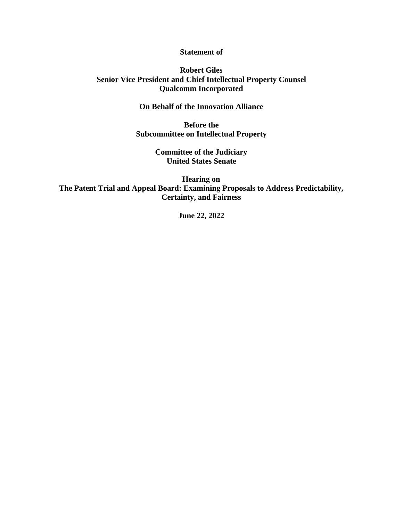## **Statement of**

## **Robert Giles Senior Vice President and Chief Intellectual Property Counsel Qualcomm Incorporated**

## **On Behalf of the Innovation Alliance**

**Before the Subcommittee on Intellectual Property**

> **Committee of the Judiciary United States Senate**

**Hearing on The Patent Trial and Appeal Board: Examining Proposals to Address Predictability, Certainty, and Fairness**

**June 22, 2022**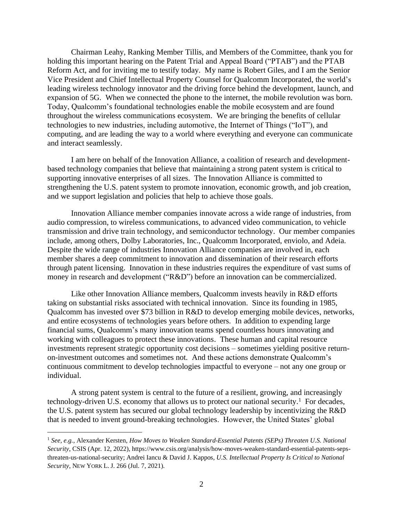Chairman Leahy, Ranking Member Tillis, and Members of the Committee, thank you for holding this important hearing on the Patent Trial and Appeal Board ("PTAB") and the PTAB Reform Act, and for inviting me to testify today. My name is Robert Giles, and I am the Senior Vice President and Chief Intellectual Property Counsel for Qualcomm Incorporated, the world's leading wireless technology innovator and the driving force behind the development, launch, and expansion of 5G. When we connected the phone to the internet, the mobile revolution was born. Today, Qualcomm's foundational technologies enable the mobile ecosystem and are found throughout the wireless communications ecosystem. We are bringing the benefits of cellular technologies to new industries, including automotive, the Internet of Things ("IoT"), and computing, and are leading the way to a world where everything and everyone can communicate and interact seamlessly.

I am here on behalf of the Innovation Alliance, a coalition of research and developmentbased technology companies that believe that maintaining a strong patent system is critical to supporting innovative enterprises of all sizes. The Innovation Alliance is committed to strengthening the U.S. patent system to promote innovation, economic growth, and job creation, and we support legislation and policies that help to achieve those goals.

Innovation Alliance member companies innovate across a wide range of industries, from audio compression, to wireless communications, to advanced video communication, to vehicle transmission and drive train technology, and semiconductor technology. Our member companies include, among others, Dolby Laboratories, Inc., Qualcomm Incorporated, enviolo, and Adeia. Despite the wide range of industries Innovation Alliance companies are involved in, each member shares a deep commitment to innovation and dissemination of their research efforts through patent licensing. Innovation in these industries requires the expenditure of vast sums of money in research and development ("R&D") before an innovation can be commercialized.

Like other Innovation Alliance members, Qualcomm invests heavily in R&D efforts taking on substantial risks associated with technical innovation. Since its founding in 1985, Qualcomm has invested over \$73 billion in R&D to develop emerging mobile devices, networks, and entire ecosystems of technologies years before others. In addition to expending large financial sums, Qualcomm's many innovation teams spend countless hours innovating and working with colleagues to protect these innovations. These human and capital resource investments represent strategic opportunity cost decisions – sometimes yielding positive returnon-investment outcomes and sometimes not. And these actions demonstrate Qualcomm's continuous commitment to develop technologies impactful to everyone – not any one group or individual.

A strong patent system is central to the future of a resilient, growing, and increasingly technology-driven U.S. economy that allows us to protect our national security.<sup>1</sup> For decades, the U.S. patent system has secured our global technology leadership by incentivizing the R&D that is needed to invent ground-breaking technologies. However, the United States' global

<sup>1</sup> *See, e.g.*, Alexander Kersten, *How Moves to Weaken Standard-Essential Patents (SEPs) Threaten U.S. National Security*, CSIS (Apr. 12, 2022), https://www.csis.org/analysis/how-moves-weaken-standard-essential-patents-sepsthreaten-us-national-security; Andrei Iancu & David J. Kappos, *U.S. Intellectual Property Is Critical to National Security*, NEW YORK L. J. 266 (Jul. 7, 2021).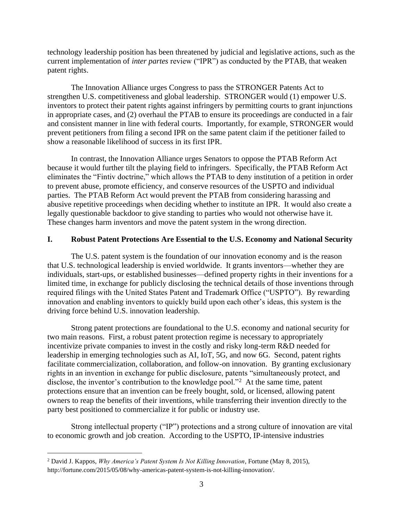technology leadership position has been threatened by judicial and legislative actions, such as the current implementation of *inter partes* review ("IPR") as conducted by the PTAB, that weaken patent rights.

The Innovation Alliance urges Congress to pass the STRONGER Patents Act to strengthen U.S. competitiveness and global leadership. STRONGER would (1) empower U.S. inventors to protect their patent rights against infringers by permitting courts to grant injunctions in appropriate cases, and (2) overhaul the PTAB to ensure its proceedings are conducted in a fair and consistent manner in line with federal courts. Importantly, for example, STRONGER would prevent petitioners from filing a second IPR on the same patent claim if the petitioner failed to show a reasonable likelihood of success in its first IPR.

In contrast, the Innovation Alliance urges Senators to oppose the PTAB Reform Act because it would further tilt the playing field to infringers. Specifically, the PTAB Reform Act eliminates the "Fintiv doctrine," which allows the PTAB to deny institution of a petition in order to prevent abuse, promote efficiency, and conserve resources of the USPTO and individual parties. The PTAB Reform Act would prevent the PTAB from considering harassing and abusive repetitive proceedings when deciding whether to institute an IPR. It would also create a legally questionable backdoor to give standing to parties who would not otherwise have it. These changes harm inventors and move the patent system in the wrong direction.

## **I. Robust Patent Protections Are Essential to the U.S. Economy and National Security**

The U.S. patent system is the foundation of our innovation economy and is the reason that U.S. technological leadership is envied worldwide. It grants inventors—whether they are individuals, start-ups, or established businesses—defined property rights in their inventions for a limited time, in exchange for publicly disclosing the technical details of those inventions through required filings with the United States Patent and Trademark Office ("USPTO"). By rewarding innovation and enabling inventors to quickly build upon each other's ideas, this system is the driving force behind U.S. innovation leadership.

Strong patent protections are foundational to the U.S. economy and national security for two main reasons. First, a robust patent protection regime is necessary to appropriately incentivize private companies to invest in the costly and risky long-term R&D needed for leadership in emerging technologies such as AI, IoT, 5G, and now 6G. Second, patent rights facilitate commercialization, collaboration, and follow-on innovation. By granting exclusionary rights in an invention in exchange for public disclosure, patents "simultaneously protect, and disclose, the inventor's contribution to the knowledge pool."<sup>2</sup> At the same time, patent protections ensure that an invention can be freely bought, sold, or licensed, allowing patent owners to reap the benefits of their inventions, while transferring their invention directly to the party best positioned to commercialize it for public or industry use.

Strong intellectual property ("IP") protections and a strong culture of innovation are vital to economic growth and job creation. According to the USPTO, IP-intensive industries

<sup>2</sup> David J. Kappos, *Why America's Patent System Is Not Killing Innovation*, Fortune (May 8, 2015), http://fortune.com/2015/05/08/why-americas-patent-system-is-not-killing-innovation/.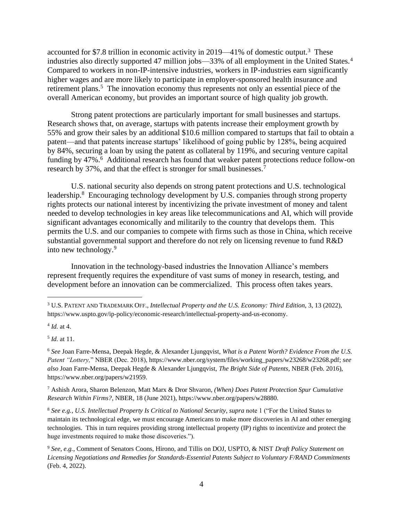accounted for \$7.8 trillion in economic activity in 2019—41% of domestic output.<sup>3</sup> These industries also directly supported 47 million jobs—33% of all employment in the United States.<sup>4</sup> Compared to workers in non-IP-intensive industries, workers in IP-industries earn significantly higher wages and are more likely to participate in employer-sponsored health insurance and retirement plans.<sup>5</sup> The innovation economy thus represents not only an essential piece of the overall American economy, but provides an important source of high quality job growth.

Strong patent protections are particularly important for small businesses and startups. Research shows that, on average, startups with patents increase their employment growth by 55% and grow their sales by an additional \$10.6 million compared to startups that fail to obtain a patent—and that patents increase startups' likelihood of going public by 128%, being acquired by 84%, securing a loan by using the patent as collateral by 119%, and securing venture capital funding by 47%.<sup>6</sup> Additional research has found that weaker patent protections reduce follow-on research by 37%, and that the effect is stronger for small businesses.<sup>7</sup>

U.S. national security also depends on strong patent protections and U.S. technological leadership.<sup>8</sup> Encouraging technology development by U.S. companies through strong property rights protects our national interest by incentivizing the private investment of money and talent needed to develop technologies in key areas like telecommunications and AI, which will provide significant advantages economically and militarily to the country that develops them. This permits the U.S. and our companies to compete with firms such as those in China, which receive substantial governmental support and therefore do not rely on licensing revenue to fund R&D into new technology. 9

Innovation in the technology-based industries the Innovation Alliance's members represent frequently requires the expenditure of vast sums of money in research, testing, and development before an innovation can be commercialized. This process often takes years.

5 *Id.* at 11.

<sup>3</sup> U.S.PATENT AND TRADEMARK OFF., *Intellectual Property and the U.S. Economy: Third Edition*, 3, 13 (2022), https://www.uspto.gov/ip-policy/economic-research/intellectual-property-and-us-economy.

<sup>4</sup> *Id.* at 4.

<sup>6</sup> *See* Joan Farre-Mensa, Deepak Hegde, & Alexander Ljungqvist, *What is a Patent Worth? Evidence From the U.S. Patent "Lottery,*" NBER (Dec. 2018), https://www.nber.org/system/files/working\_papers/w23268/w23268.pdf; *see also* Joan Farre-Mensa, Deepak Hegde & Alexander Ljungqvist, *The Bright Side of Patents*, NBER (Feb. 2016), https://www.nber.org/papers/w21959.

<sup>7</sup> Ashish Arora, Sharon Belenzon, Matt Marx & Dror Shvaron, *(When) Does Patent Protection Spur Cumulative Research Within Firms?*, NBER, 18 (June 2021), https://www.nber.org/papers/w28880.

<sup>8</sup> *See e.g.*, *U.S. Intellectual Property Is Critical to National Security*, *supra* note 1 ("For the United States to maintain its technological edge, we must encourage Americans to make more discoveries in AI and other emerging technologies. This in turn requires providing strong intellectual property (IP) rights to incentivize and protect the huge investments required to make those discoveries.").

<sup>9</sup> *See, e.g.*, Comment of Senators Coons, Hirono, and Tillis on DOJ, USPTO, & NIST *Draft Policy Statement on Licensing Negotiations and Remedies for Standards-Essential Patents Subject to Voluntary F/RAND Commitments* (Feb. 4, 2022).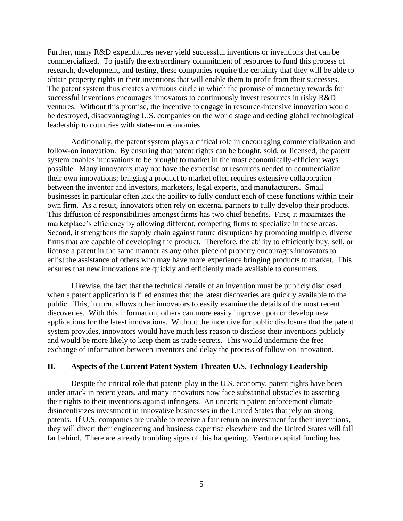Further, many R&D expenditures never yield successful inventions or inventions that can be commercialized. To justify the extraordinary commitment of resources to fund this process of research, development, and testing, these companies require the certainty that they will be able to obtain property rights in their inventions that will enable them to profit from their successes. The patent system thus creates a virtuous circle in which the promise of monetary rewards for successful inventions encourages innovators to continuously invest resources in risky R&D ventures. Without this promise, the incentive to engage in resource-intensive innovation would be destroyed, disadvantaging U.S. companies on the world stage and ceding global technological leadership to countries with state-run economies.

Additionally, the patent system plays a critical role in encouraging commercialization and follow-on innovation. By ensuring that patent rights can be bought, sold, or licensed, the patent system enables innovations to be brought to market in the most economically-efficient ways possible. Many innovators may not have the expertise or resources needed to commercialize their own innovations; bringing a product to market often requires extensive collaboration between the inventor and investors, marketers, legal experts, and manufacturers. Small businesses in particular often lack the ability to fully conduct each of these functions within their own firm. As a result, innovators often rely on external partners to fully develop their products. This diffusion of responsibilities amongst firms has two chief benefits. First, it maximizes the marketplace's efficiency by allowing different, competing firms to specialize in these areas. Second, it strengthens the supply chain against future disruptions by promoting multiple, diverse firms that are capable of developing the product. Therefore, the ability to efficiently buy, sell, or license a patent in the same manner as any other piece of property encourages innovators to enlist the assistance of others who may have more experience bringing products to market. This ensures that new innovations are quickly and efficiently made available to consumers.

Likewise, the fact that the technical details of an invention must be publicly disclosed when a patent application is filed ensures that the latest discoveries are quickly available to the public. This, in turn, allows other innovators to easily examine the details of the most recent discoveries. With this information, others can more easily improve upon or develop new applications for the latest innovations. Without the incentive for public disclosure that the patent system provides, innovators would have much less reason to disclose their inventions publicly and would be more likely to keep them as trade secrets. This would undermine the free exchange of information between inventors and delay the process of follow-on innovation.

## **II. Aspects of the Current Patent System Threaten U.S. Technology Leadership**

Despite the critical role that patents play in the U.S. economy, patent rights have been under attack in recent years, and many innovators now face substantial obstacles to asserting their rights to their inventions against infringers. An uncertain patent enforcement climate disincentivizes investment in innovative businesses in the United States that rely on strong patents. If U.S. companies are unable to receive a fair return on investment for their inventions, they will divert their engineering and business expertise elsewhere and the United States will fall far behind. There are already troubling signs of this happening. Venture capital funding has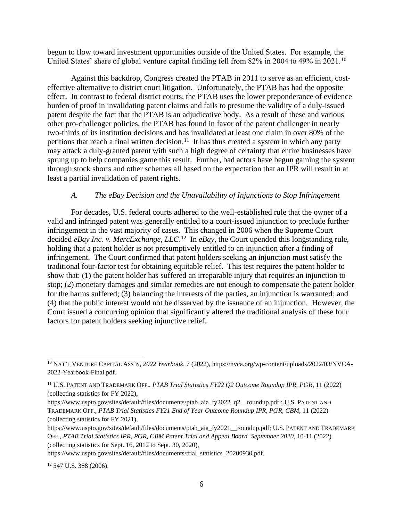begun to flow toward investment opportunities outside of the United States. For example, the United States' share of global venture capital funding fell from 82% in 2004 to 49% in 2021.<sup>10</sup>

Against this backdrop, Congress created the PTAB in 2011 to serve as an efficient, costeffective alternative to district court litigation. Unfortunately, the PTAB has had the opposite effect. In contrast to federal district courts, the PTAB uses the lower preponderance of evidence burden of proof in invalidating patent claims and fails to presume the validity of a duly-issued patent despite the fact that the PTAB is an adjudicative body. As a result of these and various other pro-challenger policies, the PTAB has found in favor of the patent challenger in nearly two-thirds of its institution decisions and has invalidated at least one claim in over 80% of the petitions that reach a final written decision.<sup>11</sup> It has thus created a system in which any party may attack a duly-granted patent with such a high degree of certainty that entire businesses have sprung up to help companies game this result. Further, bad actors have begun gaming the system through stock shorts and other schemes all based on the expectation that an IPR will result in at least a partial invalidation of patent rights.

## *A. The eBay Decision and the Unavailability of Injunctions to Stop Infringement*

For decades, U.S. federal courts adhered to the well-established rule that the owner of a valid and infringed patent was generally entitled to a court-issued injunction to preclude further infringement in the vast majority of cases. This changed in 2006 when the Supreme Court decided *eBay Inc. v. MercExchange, LLC*. 12 In *eBay*, the Court upended this longstanding rule, holding that a patent holder is not presumptively entitled to an injunction after a finding of infringement. The Court confirmed that patent holders seeking an injunction must satisfy the traditional four-factor test for obtaining equitable relief. This test requires the patent holder to show that: (1) the patent holder has suffered an irreparable injury that requires an injunction to stop; (2) monetary damages and similar remedies are not enough to compensate the patent holder for the harms suffered; (3) balancing the interests of the parties, an injunction is warranted; and (4) that the public interest would not be disserved by the issuance of an injunction. However, the Court issued a concurring opinion that significantly altered the traditional analysis of these four factors for patent holders seeking injunctive relief.

<sup>10</sup> NAT'L VENTURE CAPITAL ASS'N, *2022 Yearbook*, 7 (2022), https://nvca.org/wp-content/uploads/2022/03/NVCA-2022-Yearbook-Final.pdf.

<sup>11</sup> U.S.PATENT AND TRADEMARK OFF., *PTAB Trial Statistics FY22 Q2 Outcome Roundup IPR, PGR*, 11 (2022) (collecting statistics for FY 2022),

https://www.uspto.gov/sites/default/files/documents/ptab\_aia\_fy2022\_q2\_\_roundup.pdf.; U.S. PATENT AND TRADEMARK OFF., *PTAB Trial Statistics FY21 End of Year Outcome Roundup IPR, PGR, CBM*, 11 (2022) (collecting statistics for FY 2021),

https://www.uspto.gov/sites/default/files/documents/ptab\_aia\_fy2021\_\_roundup.pdf; U.S. PATENT AND TRADEMARK OFF., *PTAB Trial Statistics IPR, PGR, CBM Patent Trial and Appeal Board September 2020*, 10-11 (2022) (collecting statistics for Sept. 16, 2012 to Sept. 30, 2020),

https://www.uspto.gov/sites/default/files/documents/trial\_statistics\_20200930.pdf.

<sup>12</sup> 547 U.S. 388 (2006).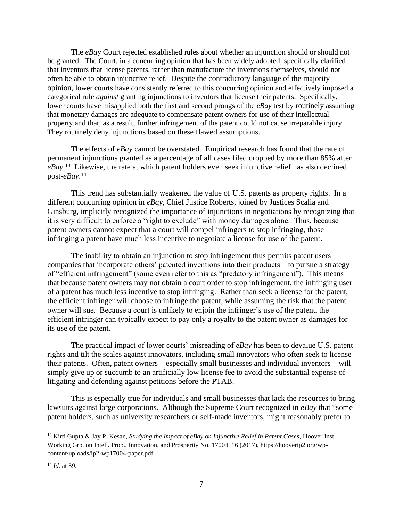The *eBay* Court rejected established rules about whether an injunction should or should not be granted. The Court, in a concurring opinion that has been widely adopted, specifically clarified that inventors that license patents, rather than manufacture the inventions themselves, should not often be able to obtain injunctive relief. Despite the contradictory language of the majority opinion, lower courts have consistently referred to this concurring opinion and effectively imposed a categorical rule *against* granting injunctions to inventors that license their patents. Specifically, lower courts have misapplied both the first and second prongs of the *eBay* test by routinely assuming that monetary damages are adequate to compensate patent owners for use of their intellectual property and that, as a result, further infringement of the patent could not cause irreparable injury. They routinely deny injunctions based on these flawed assumptions.

The effects of *eBay* cannot be overstated. Empirical research has found that the rate of permanent injunctions granted as a percentage of all cases filed dropped by more than 85% after *eBay*. 13 Likewise, the rate at which patent holders even seek injunctive relief has also declined post-*eBay*. 14

This trend has substantially weakened the value of U.S. patents as property rights. In a different concurring opinion in *eBay*, Chief Justice Roberts, joined by Justices Scalia and Ginsburg, implicitly recognized the importance of injunctions in negotiations by recognizing that it is very difficult to enforce a "right to exclude" with money damages alone. Thus, because patent owners cannot expect that a court will compel infringers to stop infringing, those infringing a patent have much less incentive to negotiate a license for use of the patent.

The inability to obtain an injunction to stop infringement thus permits patent users companies that incorporate others' patented inventions into their products—to pursue a strategy of "efficient infringement" (some even refer to this as "predatory infringement"). This means that because patent owners may not obtain a court order to stop infringement, the infringing user of a patent has much less incentive to stop infringing. Rather than seek a license for the patent, the efficient infringer will choose to infringe the patent, while assuming the risk that the patent owner will sue. Because a court is unlikely to enjoin the infringer's use of the patent, the efficient infringer can typically expect to pay only a royalty to the patent owner as damages for its use of the patent.

The practical impact of lower courts' misreading of *eBay* has been to devalue U.S. patent rights and tilt the scales against innovators, including small innovators who often seek to license their patents. Often, patent owners—especially small businesses and individual inventors—will simply give up or succumb to an artificially low license fee to avoid the substantial expense of litigating and defending against petitions before the PTAB.

This is especially true for individuals and small businesses that lack the resources to bring lawsuits against large corporations. Although the Supreme Court recognized in *eBay* that "some patent holders, such as university researchers or self-made inventors, might reasonably prefer to

<sup>13</sup> Kirti Gupta & Jay P. Kesan, *Studying the Impact of eBay on Injunctive Relief in Patent Cases*, Hoover Inst. Working Grp. on Intell. Prop., Innovation, and Prosperity No. 17004, 16 (2017), https://hooverip2.org/wpcontent/uploads/ip2-wp17004-paper.pdf.

<sup>14</sup> *Id.* at 39.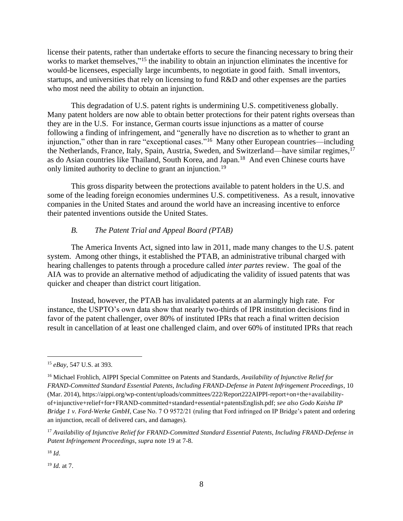license their patents, rather than undertake efforts to secure the financing necessary to bring their works to market themselves,"<sup>15</sup> the inability to obtain an injunction eliminates the incentive for would-be licensees, especially large incumbents, to negotiate in good faith. Small inventors, startups, and universities that rely on licensing to fund R&D and other expenses are the parties who most need the ability to obtain an injunction.

This degradation of U.S. patent rights is undermining U.S. competitiveness globally. Many patent holders are now able to obtain better protections for their patent rights overseas than they are in the U.S. For instance, German courts issue injunctions as a matter of course following a finding of infringement, and "generally have no discretion as to whether to grant an injunction," other than in rare "exceptional cases."<sup>16</sup> Many other European countries—including the Netherlands, France, Italy, Spain, Austria, Sweden, and Switzerland—have similar regimes,<sup>17</sup> as do Asian countries like Thailand, South Korea, and Japan.<sup>18</sup> And even Chinese courts have only limited authority to decline to grant an injunction.<sup>19</sup>

This gross disparity between the protections available to patent holders in the U.S. and some of the leading foreign economies undermines U.S. competitiveness. As a result, innovative companies in the United States and around the world have an increasing incentive to enforce their patented inventions outside the United States.

#### *B. The Patent Trial and Appeal Board (PTAB)*

The America Invents Act, signed into law in 2011, made many changes to the U.S. patent system. Among other things, it established the PTAB, an administrative tribunal charged with hearing challenges to patents through a procedure called *inter partes* review. The goal of the AIA was to provide an alternative method of adjudicating the validity of issued patents that was quicker and cheaper than district court litigation.

Instead, however, the PTAB has invalidated patents at an alarmingly high rate. For instance, the USPTO's own data show that nearly two-thirds of IPR institution decisions find in favor of the patent challenger, over 80% of instituted IPRs that reach a final written decision result in cancellation of at least one challenged claim, and over 60% of instituted IPRs that reach

<sup>19</sup> *Id.* at 7.

<sup>15</sup> *eBay*, 547 U.S. at 393.

<sup>16</sup> Michael Frohlich, AIPPI Special Committee on Patents and Standards, *Availability of Injunctive Relief for FRAND-Committed Standard Essential Patents, Including FRAND-Defense in Patent Infringement Proceedings*, 10 (Mar. 2014), https://aippi.org/wp-content/uploads/committees/222/Report222AIPPI-report+on+the+availabilityof+injunctive+relief+for+FRAND-committed+standard+essential+patentsEnglish.pdf; *see also Godo Kaisha IP Bridge 1 v. Ford-Werke GmbH*, Case No. 7 O 9572/21 (ruling that Ford infringed on IP Bridge's patent and ordering an injunction, recall of delivered cars, and damages).

<sup>17</sup> *Availability of Injunctive Relief for FRAND-Committed Standard Essential Patents, Including FRAND-Defense in Patent Infringement Proceedings*, *supra* note 19 at 7-8.

<sup>18</sup> *Id*.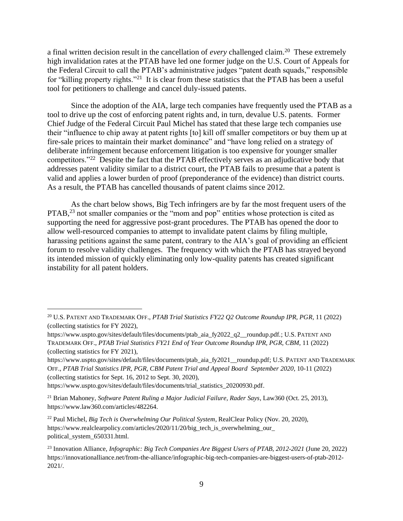a final written decision result in the cancellation of *every* challenged claim. 20 These extremely high invalidation rates at the PTAB have led one former judge on the U.S. Court of Appeals for the Federal Circuit to call the PTAB's administrative judges "patent death squads," responsible for "killing property rights."<sup>21</sup> It is clear from these statistics that the PTAB has been a useful tool for petitioners to challenge and cancel duly-issued patents.

Since the adoption of the AIA, large tech companies have frequently used the PTAB as a tool to drive up the cost of enforcing patent rights and, in turn, devalue U.S. patents. Former Chief Judge of the Federal Circuit Paul Michel has stated that these large tech companies use their "influence to chip away at patent rights [to] kill off smaller competitors or buy them up at fire-sale prices to maintain their market dominance" and "have long relied on a strategy of deliberate infringement because enforcement litigation is too expensive for younger smaller competitors."<sup>22</sup> Despite the fact that the PTAB effectively serves as an adjudicative body that addresses patent validity similar to a district court, the PTAB fails to presume that a patent is valid and applies a lower burden of proof (preponderance of the evidence) than district courts. As a result, the PTAB has cancelled thousands of patent claims since 2012.

As the chart below shows, Big Tech infringers are by far the most frequent users of the PTAB,<sup>23</sup> not smaller companies or the "mom and pop" entities whose protection is cited as supporting the need for aggressive post-grant procedures. The PTAB has opened the door to allow well-resourced companies to attempt to invalidate patent claims by filing multiple, harassing petitions against the same patent, contrary to the AIA's goal of providing an efficient forum to resolve validity challenges. The frequency with which the PTAB has strayed beyond its intended mission of quickly eliminating only low-quality patents has created significant instability for all patent holders.

https://www.uspto.gov/sites/default/files/documents/trial\_statistics\_20200930.pdf.

<sup>20</sup> U.S.PATENT AND TRADEMARK OFF., *PTAB Trial Statistics FY22 Q2 Outcome Roundup IPR, PGR*, 11 (2022) (collecting statistics for FY 2022),

https://www.uspto.gov/sites/default/files/documents/ptab\_aia\_fy2022\_q2\_\_roundup.pdf.; U.S.PATENT AND TRADEMARK OFF., *PTAB Trial Statistics FY21 End of Year Outcome Roundup IPR, PGR, CBM*, 11 (2022) (collecting statistics for FY 2021),

https://www.uspto.gov/sites/default/files/documents/ptab\_aia\_fy2021\_\_roundup.pdf; U.S. PATENT AND TRADEMARK OFF., *PTAB Trial Statistics IPR, PGR, CBM Patent Trial and Appeal Board September 2020*, 10-11 (2022) (collecting statistics for Sept. 16, 2012 to Sept. 30, 2020),

<sup>21</sup> Brian Mahoney, *Software Patent Ruling a Major Judicial Failure, Rader Says*, Law360 (Oct. 25, 2013), https://www.law360.com/articles/482264.

<sup>22</sup> Paul Michel, *Big Tech is Overwhelming Our Political System*, RealClear Policy (Nov. 20, 2020), https://www.realclearpolicy.com/articles/2020/11/20/big\_tech\_is\_overwhelming\_our\_ political\_system\_650331.html.

<sup>23</sup> Innovation Alliance, *Infographic: Big Tech Companies Are Biggest Users of PTAB, 2012-2021* (June 20, 2022) https://innovationalliance.net/from-the-alliance/infographic-big-tech-companies-are-biggest-users-of-ptab-2012- 2021/.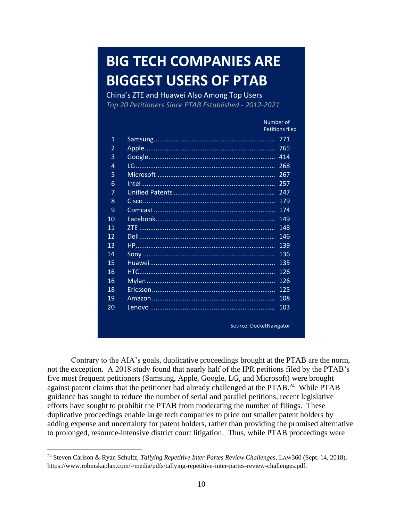# **BIG TECH COMPANIES ARE BIGGEST USERS OF PTAB**

China's ZTE and Huawei Also Among Top Users *Top 20 Petitioners Since PTAB Established - 2012-2021*

|                |        | Number of               |  |
|----------------|--------|-------------------------|--|
|                |        | <b>Petitions filed</b>  |  |
| 1              |        | 771                     |  |
| $\overline{2}$ |        | 765                     |  |
| 3              |        | 414                     |  |
| $\overline{4}$ |        | 268                     |  |
| 5              |        | 267                     |  |
| 6              | Intel. | 257                     |  |
| 7              |        | 247                     |  |
| 8              |        | 179                     |  |
| 9              |        | 174                     |  |
| 10             |        | 149                     |  |
| 11             |        | 148                     |  |
| 12             |        | 146                     |  |
| 1 <sub>3</sub> |        | 139                     |  |
| 14             |        | 136                     |  |
| 15             |        | 135                     |  |
| 16             |        | 126                     |  |
| 16             |        | 126                     |  |
| 18             |        | 125                     |  |
| 19             |        | 108                     |  |
| 20             |        | 103                     |  |
|                |        | Source: DocketNavigator |  |

Contrary to the AIA's goals, duplicative proceedings brought at the PTAB are the norm, not the exception. A 2018 study found that nearly half of the IPR petitions filed by the PTAB's five most frequent petitioners (Samsung, Apple, Google, LG, and Microsoft) were brought against patent claims that the petitioner had already challenged at the PTAB.<sup>24</sup> While PTAB guidance has sought to reduce the number of serial and parallel petitions, recent legislative efforts have sought to prohibit the PTAB from moderating the number of filings. These duplicative proceedings enable large tech companies to price out smaller patent holders by adding expense and uncertainty for patent holders, rather than providing the promised alternative to prolonged, resource-intensive district court litigation. Thus, while PTAB proceedings were

<sup>24</sup> Steven Carlson & Ryan Schultz, *Tallying Repetitive Inter Partes Review Challenges*, LAW360 (Sept. 14, 2018), https://www.robinskaplan.com/-/media/pdfs/tallying-repetitive-inter-partes-review-challenges.pdf.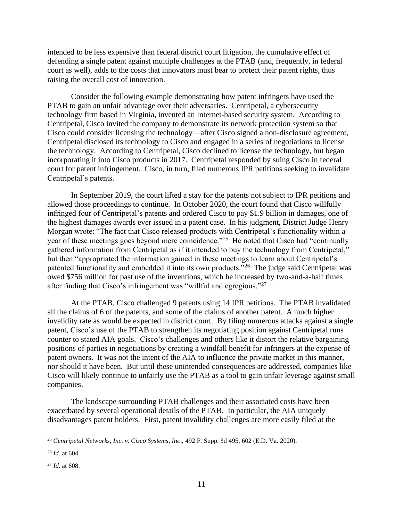intended to be less expensive than federal district court litigation, the cumulative effect of defending a single patent against multiple challenges at the PTAB (and, frequently, in federal court as well), adds to the costs that innovators must bear to protect their patent rights, thus raising the overall cost of innovation.

Consider the following example demonstrating how patent infringers have used the PTAB to gain an unfair advantage over their adversaries. Centripetal, a cybersecurity technology firm based in Virginia, invented an Internet-based security system. According to Centripetal, Cisco invited the company to demonstrate its network protection system so that Cisco could consider licensing the technology—after Cisco signed a non-disclosure agreement, Centripetal disclosed its technology to Cisco and engaged in a series of negotiations to license the technology. According to Centripetal, Cisco declined to license the technology, but began incorporating it into Cisco products in 2017. Centripetal responded by suing Cisco in federal court for patent infringement. Cisco, in turn, filed numerous IPR petitions seeking to invalidate Centripetal's patents.

In September 2019, the court lifted a stay for the patents not subject to IPR petitions and allowed those proceedings to continue. In October 2020, the court found that Cisco willfully infringed four of Centripetal's patents and ordered Cisco to pay \$1.9 billion in damages, one of the highest damages awards ever issued in a patent case. In his judgment, District Judge Henry Morgan wrote: "The fact that Cisco released products with Centripetal's functionality within a year of these meetings goes beyond mere coincidence."<sup>25</sup> He noted that Cisco had "continually gathered information from Centripetal as if it intended to buy the technology from Centripetal," but then "appropriated the information gained in these meetings to learn about Centripetal's patented functionality and embedded it into its own products."<sup>26</sup> The judge said Centripetal was owed \$756 million for past use of the inventions, which he increased by two-and-a-half times after finding that Cisco's infringement was "willful and egregious."<sup>27</sup>

At the PTAB, Cisco challenged 9 patents using 14 IPR petitions. The PTAB invalidated all the claims of 6 of the patents, and some of the claims of another patent. A much higher invalidity rate as would be expected in district court. By filing numerous attacks against a single patent, Cisco's use of the PTAB to strengthen its negotiating position against Centripetal runs counter to stated AIA goals. Cisco's challenges and others like it distort the relative bargaining positions of parties in negotiations by creating a windfall benefit for infringers at the expense of patent owners. It was not the intent of the AIA to influence the private market in this manner, nor should it have been. But until these unintended consequences are addressed, companies like Cisco will likely continue to unfairly use the PTAB as a tool to gain unfair leverage against small companies.

The landscape surrounding PTAB challenges and their associated costs have been exacerbated by several operational details of the PTAB. In particular, the AIA uniquely disadvantages patent holders. First, patent invalidity challenges are more easily filed at the

<sup>25</sup> *Centripetal Networks, Inc. v. Cisco Systems, Inc*., 492 F. Supp. 3d 495, 602 (E.D. Va. 2020).

<sup>26</sup> *Id.* at 604.

<sup>27</sup> *Id.* at 608.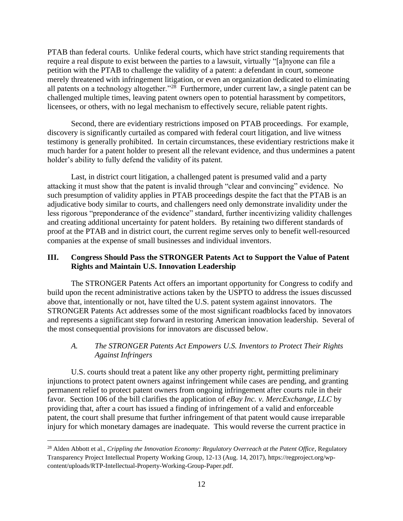PTAB than federal courts. Unlike federal courts, which have strict standing requirements that require a real dispute to exist between the parties to a lawsuit, virtually "[a]nyone can file a petition with the PTAB to challenge the validity of a patent: a defendant in court, someone merely threatened with infringement litigation, or even an organization dedicated to eliminating all patents on a technology altogether."<sup>28</sup> Furthermore, under current law, a single patent can be challenged multiple times, leaving patent owners open to potential harassment by competitors, licensees, or others, with no legal mechanism to effectively secure, reliable patent rights.

Second, there are evidentiary restrictions imposed on PTAB proceedings. For example, discovery is significantly curtailed as compared with federal court litigation, and live witness testimony is generally prohibited. In certain circumstances, these evidentiary restrictions make it much harder for a patent holder to present all the relevant evidence, and thus undermines a patent holder's ability to fully defend the validity of its patent.

Last, in district court litigation, a challenged patent is presumed valid and a party attacking it must show that the patent is invalid through "clear and convincing" evidence. No such presumption of validity applies in PTAB proceedings despite the fact that the PTAB is an adjudicative body similar to courts, and challengers need only demonstrate invalidity under the less rigorous "preponderance of the evidence" standard, further incentivizing validity challenges and creating additional uncertainty for patent holders. By retaining two different standards of proof at the PTAB and in district court, the current regime serves only to benefit well-resourced companies at the expense of small businesses and individual inventors.

## **III. Congress Should Pass the STRONGER Patents Act to Support the Value of Patent Rights and Maintain U.S. Innovation Leadership**

The STRONGER Patents Act offers an important opportunity for Congress to codify and build upon the recent administrative actions taken by the USPTO to address the issues discussed above that, intentionally or not, have tilted the U.S. patent system against innovators. The STRONGER Patents Act addresses some of the most significant roadblocks faced by innovators and represents a significant step forward in restoring American innovation leadership. Several of the most consequential provisions for innovators are discussed below.

# *A. The STRONGER Patents Act Empowers U.S. Inventors to Protect Their Rights Against Infringers*

U.S. courts should treat a patent like any other property right, permitting preliminary injunctions to protect patent owners against infringement while cases are pending, and granting permanent relief to protect patent owners from ongoing infringement after courts rule in their favor. Section 106 of the bill clarifies the application of *eBay Inc. v. MercExchange, LLC* by providing that, after a court has issued a finding of infringement of a valid and enforceable patent, the court shall presume that further infringement of that patent would cause irreparable injury for which monetary damages are inadequate. This would reverse the current practice in

<sup>28</sup> Alden Abbott et al., *Crippling the Innovation Economy: Regulatory Overreach at the Patent Office*, Regulatory Transparency Project Intellectual Property Working Group, 12-13 (Aug. 14, 2017), https://regproject.org/wpcontent/uploads/RTP-Intellectual-Property-Working-Group-Paper.pdf.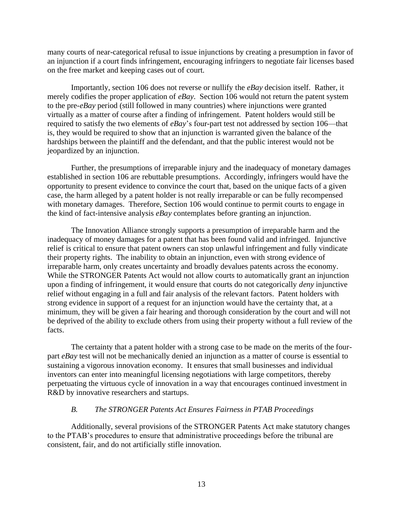many courts of near-categorical refusal to issue injunctions by creating a presumption in favor of an injunction if a court finds infringement, encouraging infringers to negotiate fair licenses based on the free market and keeping cases out of court.

Importantly, section 106 does not reverse or nullify the *eBay* decision itself. Rather, it merely codifies the proper application of *eBay*. Section 106 would not return the patent system to the pre-*eBay* period (still followed in many countries) where injunctions were granted virtually as a matter of course after a finding of infringement. Patent holders would still be required to satisfy the two elements of *eBay*'s four-part test not addressed by section 106—that is, they would be required to show that an injunction is warranted given the balance of the hardships between the plaintiff and the defendant, and that the public interest would not be jeopardized by an injunction.

Further, the presumptions of irreparable injury and the inadequacy of monetary damages established in section 106 are rebuttable presumptions. Accordingly, infringers would have the opportunity to present evidence to convince the court that, based on the unique facts of a given case, the harm alleged by a patent holder is not really irreparable or can be fully recompensed with monetary damages. Therefore, Section 106 would continue to permit courts to engage in the kind of fact-intensive analysis *eBay* contemplates before granting an injunction.

The Innovation Alliance strongly supports a presumption of irreparable harm and the inadequacy of money damages for a patent that has been found valid and infringed. Injunctive relief is critical to ensure that patent owners can stop unlawful infringement and fully vindicate their property rights. The inability to obtain an injunction, even with strong evidence of irreparable harm, only creates uncertainty and broadly devalues patents across the economy. While the STRONGER Patents Act would not allow courts to automatically grant an injunction upon a finding of infringement, it would ensure that courts do not categorically *deny* injunctive relief without engaging in a full and fair analysis of the relevant factors. Patent holders with strong evidence in support of a request for an injunction would have the certainty that, at a minimum, they will be given a fair hearing and thorough consideration by the court and will not be deprived of the ability to exclude others from using their property without a full review of the facts.

The certainty that a patent holder with a strong case to be made on the merits of the fourpart *eBay* test will not be mechanically denied an injunction as a matter of course is essential to sustaining a vigorous innovation economy. It ensures that small businesses and individual inventors can enter into meaningful licensing negotiations with large competitors, thereby perpetuating the virtuous cycle of innovation in a way that encourages continued investment in R&D by innovative researchers and startups.

#### *B. The STRONGER Patents Act Ensures Fairness in PTAB Proceedings*

Additionally, several provisions of the STRONGER Patents Act make statutory changes to the PTAB's procedures to ensure that administrative proceedings before the tribunal are consistent, fair, and do not artificially stifle innovation.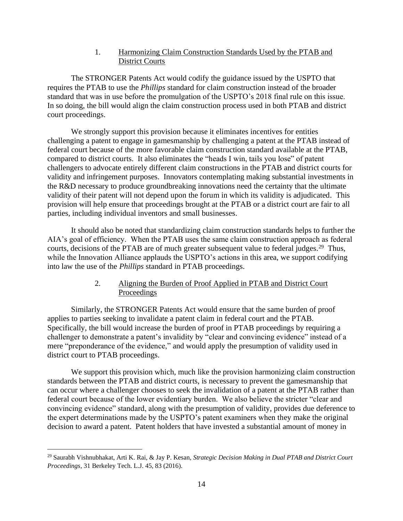## 1. Harmonizing Claim Construction Standards Used by the PTAB and District Courts

The STRONGER Patents Act would codify the guidance issued by the USPTO that requires the PTAB to use the *Phillips* standard for claim construction instead of the broader standard that was in use before the promulgation of the USPTO's 2018 final rule on this issue. In so doing, the bill would align the claim construction process used in both PTAB and district court proceedings.

We strongly support this provision because it eliminates incentives for entities challenging a patent to engage in gamesmanship by challenging a patent at the PTAB instead of federal court because of the more favorable claim construction standard available at the PTAB, compared to district courts. It also eliminates the "heads I win, tails you lose" of patent challengers to advocate entirely different claim constructions in the PTAB and district courts for validity and infringement purposes. Innovators contemplating making substantial investments in the R&D necessary to produce groundbreaking innovations need the certainty that the ultimate validity of their patent will not depend upon the forum in which its validity is adjudicated. This provision will help ensure that proceedings brought at the PTAB or a district court are fair to all parties, including individual inventors and small businesses.

It should also be noted that standardizing claim construction standards helps to further the AIA's goal of efficiency. When the PTAB uses the same claim construction approach as federal courts, decisions of the PTAB are of much greater subsequent value to federal judges.<sup>29</sup> Thus, while the Innovation Alliance applauds the USPTO's actions in this area, we support codifying into law the use of the *Phillips* standard in PTAB proceedings.

# 2. Aligning the Burden of Proof Applied in PTAB and District Court **Proceedings**

Similarly, the STRONGER Patents Act would ensure that the same burden of proof applies to parties seeking to invalidate a patent claim in federal court and the PTAB. Specifically, the bill would increase the burden of proof in PTAB proceedings by requiring a challenger to demonstrate a patent's invalidity by "clear and convincing evidence" instead of a mere "preponderance of the evidence," and would apply the presumption of validity used in district court to PTAB proceedings.

We support this provision which, much like the provision harmonizing claim construction standards between the PTAB and district courts, is necessary to prevent the gamesmanship that can occur where a challenger chooses to seek the invalidation of a patent at the PTAB rather than federal court because of the lower evidentiary burden. We also believe the stricter "clear and convincing evidence" standard, along with the presumption of validity, provides due deference to the expert determinations made by the USPTO's patent examiners when they make the original decision to award a patent. Patent holders that have invested a substantial amount of money in

<sup>29</sup> Saurabh Vishnubhakat, Arti K. Rai, & Jay P. Kesan, *Strategic Decision Making in Dual PTAB and District Court Proceedings*, 31 Berkeley Tech. L.J. 45, 83 (2016).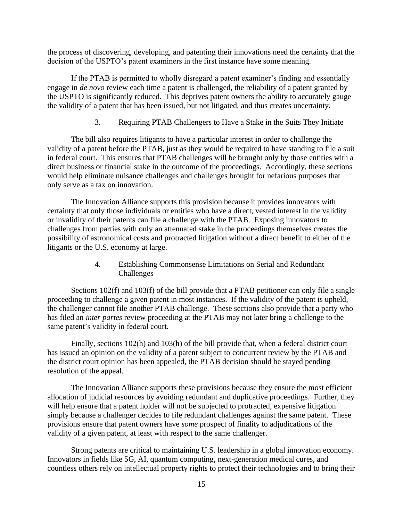the process of discovering, developing, and patenting their innovations need the certainty that the decision of the USPTO's patent examiners in the first instance have some meaning.

If the PTAB is permitted to wholly disregard a patent examiner's finding and essentially engage in *de novo* review each time a patent is challenged, the reliability of a patent granted by the USPTO is significantly reduced. This deprives patent owners the ability to accurately gauge the validity of a patent that has been issued, but not litigated, and thus creates uncertainty.

## 3. Requiring PTAB Challengers to Have a Stake in the Suits They Initiate

The bill also requires litigants to have a particular interest in order to challenge the validity of a patent before the PTAB, just as they would be required to have standing to file a suit in federal court. This ensures that PTAB challenges will be brought only by those entities with a direct business or financial stake in the outcome of the proceedings. Accordingly, these sections would help eliminate nuisance challenges and challenges brought for nefarious purposes that only serve as a tax on innovation.

The Innovation Alliance supports this provision because it provides innovators with certainty that only those individuals or entities who have a direct, vested interest in the validity or invalidity of their patents can file a challenge with the PTAB. Exposing innovators to challenges from parties with only an attenuated stake in the proceedings themselves creates the possibility of astronomical costs and protracted litigation without a direct benefit to either of the litigants or the U.S. economy at large.

# 4. Establishing Commonsense Limitations on Serial and Redundant Challenges

Sections 102(f) and 103(f) of the bill provide that a PTAB petitioner can only file a single proceeding to challenge a given patent in most instances. If the validity of the patent is upheld, the challenger cannot file another PTAB challenge. These sections also provide that a party who has filed an *inter partes* review proceeding at the PTAB may not later bring a challenge to the same patent's validity in federal court.

Finally, sections 102(h) and 103(h) of the bill provide that, when a federal district court has issued an opinion on the validity of a patent subject to concurrent review by the PTAB and the district court opinion has been appealed, the PTAB decision should be stayed pending resolution of the appeal.

The Innovation Alliance supports these provisions because they ensure the most efficient allocation of judicial resources by avoiding redundant and duplicative proceedings. Further, they will help ensure that a patent holder will not be subjected to protracted, expensive litigation simply because a challenger decides to file redundant challenges against the same patent. These provisions ensure that patent owners have *some* prospect of finality to adjudications of the validity of a given patent, at least with respect to the same challenger.

Strong patents are critical to maintaining U.S. leadership in a global innovation economy. Innovators in fields like 5G, AI, quantum computing, next-generation medical cures, and countless others rely on intellectual property rights to protect their technologies and to bring their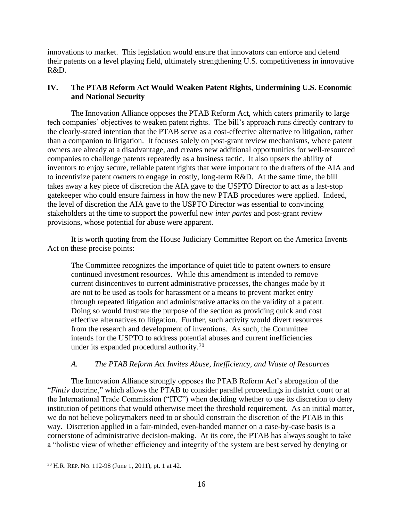innovations to market. This legislation would ensure that innovators can enforce and defend their patents on a level playing field, ultimately strengthening U.S. competitiveness in innovative R&D.

# **IV. The PTAB Reform Act Would Weaken Patent Rights, Undermining U.S. Economic and National Security**

The Innovation Alliance opposes the PTAB Reform Act, which caters primarily to large tech companies' objectives to weaken patent rights. The bill's approach runs directly contrary to the clearly-stated intention that the PTAB serve as a cost-effective alternative to litigation, rather than a companion to litigation. It focuses solely on post-grant review mechanisms, where patent owners are already at a disadvantage, and creates new additional opportunities for well-resourced companies to challenge patents repeatedly as a business tactic. It also upsets the ability of inventors to enjoy secure, reliable patent rights that were important to the drafters of the AIA and to incentivize patent owners to engage in costly, long-term R&D. At the same time, the bill takes away a key piece of discretion the AIA gave to the USPTO Director to act as a last-stop gatekeeper who could ensure fairness in how the new PTAB procedures were applied. Indeed, the level of discretion the AIA gave to the USPTO Director was essential to convincing stakeholders at the time to support the powerful new *inter partes* and post-grant review provisions, whose potential for abuse were apparent.

It is worth quoting from the House Judiciary Committee Report on the America Invents Act on these precise points:

The Committee recognizes the importance of quiet title to patent owners to ensure continued investment resources. While this amendment is intended to remove current disincentives to current administrative processes, the changes made by it are not to be used as tools for harassment or a means to prevent market entry through repeated litigation and administrative attacks on the validity of a patent. Doing so would frustrate the purpose of the section as providing quick and cost effective alternatives to litigation. Further, such activity would divert resources from the research and development of inventions. As such, the Committee intends for the USPTO to address potential abuses and current inefficiencies under its expanded procedural authority.<sup>30</sup>

## *A. The PTAB Reform Act Invites Abuse, Inefficiency, and Waste of Resources*

The Innovation Alliance strongly opposes the PTAB Reform Act's abrogation of the "*Fintiv* doctrine," which allows the PTAB to consider parallel proceedings in district court or at the International Trade Commission ("ITC") when deciding whether to use its discretion to deny institution of petitions that would otherwise meet the threshold requirement. As an initial matter, we do not believe policymakers need to or should constrain the discretion of the PTAB in this way. Discretion applied in a fair-minded, even-handed manner on a case-by-case basis is a cornerstone of administrative decision-making. At its core, the PTAB has always sought to take a "holistic view of whether efficiency and integrity of the system are best served by denying or

<sup>30</sup> H.R. REP. NO. 112-98 (June 1, 2011), pt. 1 at 42.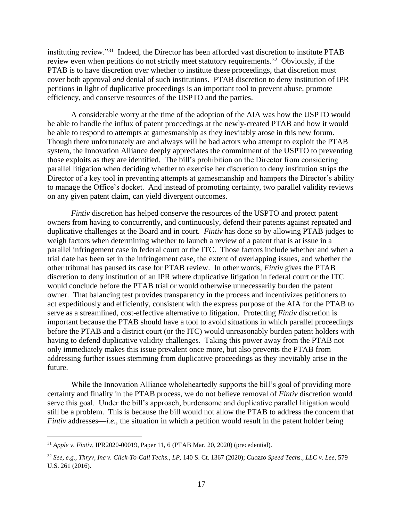instituting review."<sup>31</sup> Indeed, the Director has been afforded vast discretion to institute PTAB review even when petitions do not strictly meet statutory requirements.<sup>32</sup> Obviously, if the PTAB is to have discretion over whether to institute these proceedings, that discretion must cover both approval *and* denial of such institutions. PTAB discretion to deny institution of IPR petitions in light of duplicative proceedings is an important tool to prevent abuse, promote efficiency, and conserve resources of the USPTO and the parties.

A considerable worry at the time of the adoption of the AIA was how the USPTO would be able to handle the influx of patent proceedings at the newly-created PTAB and how it would be able to respond to attempts at gamesmanship as they inevitably arose in this new forum. Though there unfortunately are and always will be bad actors who attempt to exploit the PTAB system, the Innovation Alliance deeply appreciates the commitment of the USPTO to preventing those exploits as they are identified. The bill's prohibition on the Director from considering parallel litigation when deciding whether to exercise her discretion to deny institution strips the Director of a key tool in preventing attempts at gamesmanship and hampers the Director's ability to manage the Office's docket. And instead of promoting certainty, two parallel validity reviews on any given patent claim, can yield divergent outcomes.

*Fintiv* discretion has helped conserve the resources of the USPTO and protect patent owners from having to concurrently, and continuously, defend their patents against repeated and duplicative challenges at the Board and in court. *Fintiv* has done so by allowing PTAB judges to weigh factors when determining whether to launch a review of a patent that is at issue in a parallel infringement case in federal court or the ITC. Those factors include whether and when a trial date has been set in the infringement case, the extent of overlapping issues, and whether the other tribunal has paused its case for PTAB review. In other words, *Fintiv* gives the PTAB discretion to deny institution of an IPR where duplicative litigation in federal court or the ITC would conclude before the PTAB trial or would otherwise unnecessarily burden the patent owner. That balancing test provides transparency in the process and incentivizes petitioners to act expeditiously and efficiently, consistent with the express purpose of the AIA for the PTAB to serve as a streamlined, cost-effective alternative to litigation. Protecting *Fintiv* discretion is important because the PTAB should have a tool to avoid situations in which parallel proceedings before the PTAB and a district court (or the ITC) would unreasonably burden patent holders with having to defend duplicative validity challenges. Taking this power away from the PTAB not only immediately makes this issue prevalent once more, but also prevents the PTAB from addressing further issues stemming from duplicative proceedings as they inevitably arise in the future.

While the Innovation Alliance wholeheartedly supports the bill's goal of providing more certainty and finality in the PTAB process, we do not believe removal of *Fintiv* discretion would serve this goal. Under the bill's approach, burdensome and duplicative parallel litigation would still be a problem. This is because the bill would not allow the PTAB to address the concern that *Fintiv* addresses—*i.e.*, the situation in which a petition would result in the patent holder being

<sup>31</sup> *Apple v. Fintiv*, IPR2020-00019, Paper 11, 6 (PTAB Mar. 20, 2020) (precedential).

<sup>32</sup> *See, e.g., Thryv, Inc v. Click-To-Call Techs., LP,* 140 S. Ct. 1367 (2020); *Cuozzo Speed Techs., LLC v. Lee*, 579 U.S. 261 (2016).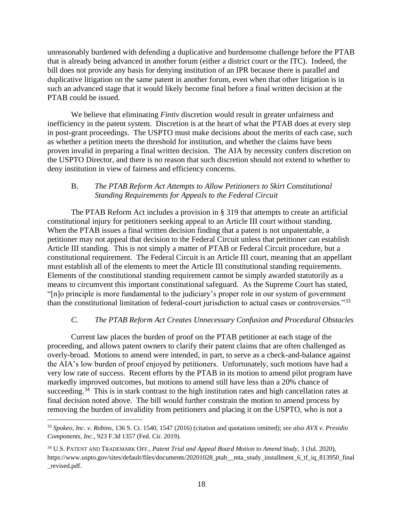unreasonably burdened with defending a duplicative and burdensome challenge before the PTAB that is already being advanced in another forum (either a district court or the ITC). Indeed, the bill does not provide any basis for denying institution of an IPR because there is parallel and duplicative litigation on the same patent in another forum, even when that other litigation is in such an advanced stage that it would likely become final before a final written decision at the PTAB could be issued.

We believe that eliminating *Fintiv* discretion would result in greater unfairness and inefficiency in the patent system. Discretion is at the heart of what the PTAB does at every step in post-grant proceedings. The USPTO must make decisions about the merits of each case, such as whether a petition meets the threshold for institution, and whether the claims have been proven invalid in preparing a final written decision. The AIA by necessity confers discretion on the USPTO Director, and there is no reason that such discretion should not extend to whether to deny institution in view of fairness and efficiency concerns.

## B. *The PTAB Reform Act Attempts to Allow Petitioners to Skirt Constitutional Standing Requirements for Appeals to the Federal Circuit*

The PTAB Reform Act includes a provision in § 319 that attempts to create an artificial constitutional injury for petitioners seeking appeal to an Article III court without standing. When the PTAB issues a final written decision finding that a patent is not unpatentable, a petitioner may not appeal that decision to the Federal Circuit unless that petitioner can establish Article III standing. This is not simply a matter of PTAB or Federal Circuit procedure, but a constitutional requirement. The Federal Circuit is an Article III court, meaning that an appellant must establish all of the elements to meet the Article III constitutional standing requirements. Elements of the constitutional standing requirement cannot be simply awarded statutorily as a means to circumvent this important constitutional safeguard. As the Supreme Court has stated, "[n]o principle is more fundamental to the judiciary's proper role in our system of government than the constitutional limitation of federal-court jurisdiction to actual cases or controversies."<sup>33</sup>

## *C. The PTAB Reform Act Creates Unnecessary Confusion and Procedural Obstacles*

Current law places the burden of proof on the PTAB petitioner at each stage of the proceeding, and allows patent owners to clarify their patent claims that are often challenged as overly-broad. Motions to amend were intended, in part, to serve as a check-and-balance against the AIA's low burden of proof enjoyed by petitioners. Unfortunately, such motions have had a very low rate of success. Recent efforts by the PTAB in its motion to amend pilot program have markedly improved outcomes, but motions to amend still have less than a 20% chance of succeeding.<sup>34</sup> This is in stark contrast to the high institution rates and high cancellation rates at final decision noted above. The bill would further constrain the motion to amend process by removing the burden of invalidity from petitioners and placing it on the USPTO, who is not a

<sup>33</sup> *Spokeo, Inc. v. Robins*, 136 S. Ct. 1540, 1547 (2016) (citation and quotations omitted); *see also AVX v. Presidio Components, Inc.*, 923 F.3d 1357 (Fed. Cir. 2019).

<sup>34</sup> U.S.PATENT AND TRADEMARK OFF., *Patent Trial and Appeal Board Motion to Amend Study*, 3 (Jul. 2020), https://www.uspto.gov/sites/default/files/documents/20201028\_ptab\_\_mta\_study\_installment\_6\_tf\_iq\_813950\_final \_revised.pdf.